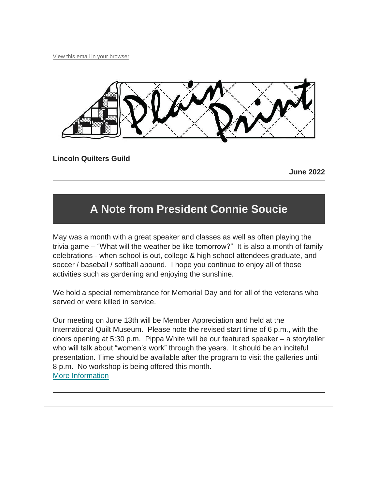[View this email in your browser](https://mailchi.mp/fcab8dd8935a/plain-print-6084781?e=%5bUNIQID%5d)



**Lincoln Quilters Guild**

**June 2022**

# **A Note from President Connie Soucie**

May was a month with a great speaker and classes as well as often playing the trivia game – "What will the weather be like tomorrow?" It is also a month of family celebrations - when school is out, college & high school attendees graduate, and soccer / baseball / softball abound. I hope you continue to enjoy all of those activities such as gardening and enjoying the sunshine.

We hold a special remembrance for Memorial Day and for all of the veterans who served or were killed in service.

Our meeting on June 13th will be Member Appreciation and held at the International Quilt Museum. Please note the revised start time of 6 p.m., with the doors opening at 5:30 p.m. Pippa White will be our featured speaker – a storyteller who will talk about "women's work" through the years. It should be an inciteful presentation. Time should be available after the program to visit the galleries until 8 p.m. No workshop is being offered this month. [More Information](https://lincolnquiltersguild.org/classes/post/?permalink=june-meeting)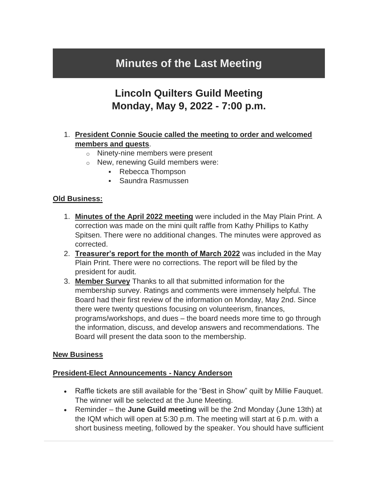## **Minutes of the Last Meeting**

### **Lincoln Quilters Guild Meeting Monday, May 9, 2022 - 7:00 p.m.**

### 1. **President Connie Soucie called the meeting to order and welcomed members and guests**.

- o Ninety-nine members were present
- o New, renewing Guild members were:
	- Rebecca Thompson
	- Saundra Rasmussen

#### **Old Business:**

- 1. **Minutes of the April 2022 meeting** were included in the May Plain Print. A correction was made on the mini quilt raffle from Kathy Phillips to Kathy Spitsen. There were no additional changes. The minutes were approved as corrected.
- 2. **Treasurer's report for the month of March 2022** was included in the May Plain Print. There were no corrections. The report will be filed by the president for audit.
- 3. **Member Survey** Thanks to all that submitted information for the membership survey. Ratings and comments were immensely helpful. The Board had their first review of the information on Monday, May 2nd. Since there were twenty questions focusing on volunteerism, finances, programs/workshops, and dues – the board needs more time to go through the information, discuss, and develop answers and recommendations. The Board will present the data soon to the membership.

#### **New Business**

#### **President-Elect Announcements - Nancy Anderson**

- Raffle tickets are still available for the "Best in Show" quilt by Millie Fauquet. The winner will be selected at the June Meeting.
- Reminder the **June Guild meeting** will be the 2nd Monday (June 13th) at the IQM which will open at 5:30 p.m. The meeting will start at 6 p.m. with a short business meeting, followed by the speaker. You should have sufficient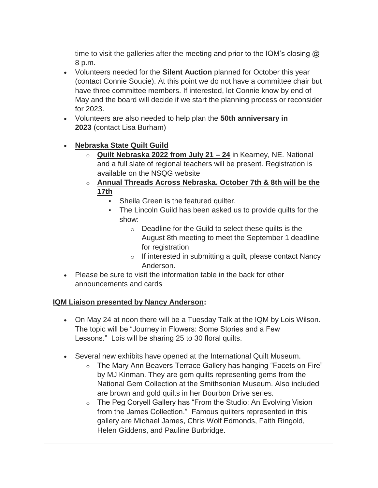time to visit the galleries after the meeting and prior to the IQM's closing  $\omega$ 8 p.m.

- Volunteers needed for the **Silent Auction** planned for October this year (contact Connie Soucie). At this point we do not have a committee chair but have three committee members. If interested, let Connie know by end of May and the board will decide if we start the planning process or reconsider for 2023.
- Volunteers are also needed to help plan the **50th anniversary in 2023** (contact Lisa Burham)

### **Nebraska State Quilt Guild**

- o **Quilt Nebraska 2022 from July 21 – 24** in Kearney, NE. National and a full slate of regional teachers will be present. Registration is available on the NSQG website
- o **Annual Threads Across Nebraska. October 7th & 8th will be the 17th**
	- Sheila Green is the featured quilter.
	- The Lincoln Guild has been asked us to provide quilts for the show:
		- o Deadline for the Guild to select these quilts is the August 8th meeting to meet the September 1 deadline for registration
		- $\circ$  If interested in submitting a quilt, please contact Nancy Anderson.
- Please be sure to visit the information table in the back for other announcements and cards

#### **IQM Liaison presented by Nancy Anderson:**

- On May 24 at noon there will be a Tuesday Talk at the IQM by Lois Wilson. The topic will be "Journey in Flowers: Some Stories and a Few Lessons." Lois will be sharing 25 to 30 floral quilts.
- Several new exhibits have opened at the International Quilt Museum.
	- o The Mary Ann Beavers Terrace Gallery has hanging "Facets on Fire" by MJ Kinman. They are gem quilts representing gems from the National Gem Collection at the Smithsonian Museum. Also included are brown and gold quilts in her Bourbon Drive series.
	- o The Peg Coryell Gallery has "From the Studio: An Evolving Vision from the James Collection." Famous quilters represented in this gallery are Michael James, Chris Wolf Edmonds, Faith Ringold, Helen Giddens, and Pauline Burbridge.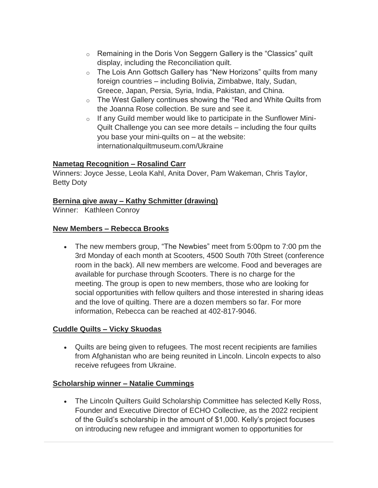- o Remaining in the Doris Von Seggern Gallery is the "Classics" quilt display, including the Reconciliation quilt.
- o The Lois Ann Gottsch Gallery has "New Horizons" quilts from many foreign countries – including Bolivia, Zimbabwe, Italy, Sudan, Greece, Japan, Persia, Syria, India, Pakistan, and China.
- o The West Gallery continues showing the "Red and White Quilts from the Joanna Rose collection. Be sure and see it.
- $\circ$  If any Guild member would like to participate in the Sunflower Mini-Quilt Challenge you can see more details – including the four quilts you base your mini-quilts on – at the website: internationalquiltmuseum.com/Ukraine

#### **Nametag Recognition – Rosalind Carr**

Winners: Joyce Jesse, Leola Kahl, Anita Dover, Pam Wakeman, Chris Taylor, Betty Doty

#### **Bernina give away – Kathy Schmitter (drawing)**

Winner: Kathleen Conroy

#### **New Members – Rebecca Brooks**

• The new members group, "The Newbies" meet from 5:00pm to 7:00 pm the 3rd Monday of each month at Scooters, 4500 South 70th Street (conference room in the back). All new members are welcome. Food and beverages are available for purchase through Scooters. There is no charge for the meeting. The group is open to new members, those who are looking for social opportunities with fellow quilters and those interested in sharing ideas and the love of quilting. There are a dozen members so far. For more information, Rebecca can be reached at 402-817-9046.

#### **Cuddle Quilts – Vicky Skuodas**

 Quilts are being given to refugees. The most recent recipients are families from Afghanistan who are being reunited in Lincoln. Lincoln expects to also receive refugees from Ukraine.

#### **Scholarship winner – Natalie Cummings**

 The Lincoln Quilters Guild Scholarship Committee has selected Kelly Ross, Founder and Executive Director of ECHO Collective, as the 2022 recipient of the Guild's scholarship in the amount of \$1,000. Kelly's project focuses on introducing new refugee and immigrant women to opportunities for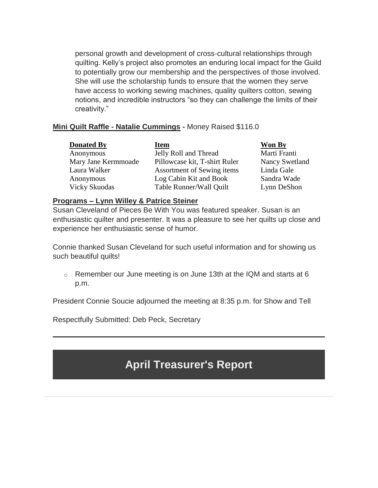personal growth and development of cross-cultural relationships through quilting. Kelly's project also promotes an enduring local impact for the Guild to potentially grow our membership and the perspectives of those involved. She will use the scholarship funds to ensure that the women they serve have access to working sewing machines, quality quilters cotton, sewing notions, and incredible instructors "so they can challenge the limits of their creativity."

#### **Mini Quilt Raffle - Natalie Cummings -** Money Raised \$116.0

| <b>Donated By</b>    | <b>Item</b>                   | <b>Won By</b>         |
|----------------------|-------------------------------|-----------------------|
| Anonymous            | Jelly Roll and Thread         | Marti Franti          |
| Mary Jane Kermmoade  | Pillowcase kit, T-shirt Ruler | <b>Nancy Swetland</b> |
| Laura Walker         | Assortment of Sewing items    | Linda Gale            |
| Anonymous            | Log Cabin Kit and Book        | Sandra Wade           |
| <b>Vicky Skuodas</b> | Table Runner/Wall Quilt       | Lynn DeShon           |

#### **Programs – Lynn Willey & Patrice Steiner**

Susan Cleveland of Pieces Be With You was featured speaker. Susan is an enthusiastic quilter and presenter. It was a pleasure to see her quilts up close and experience her enthusiastic sense of humor.

Connie thanked Susan Cleveland for such useful information and for showing us such beautiful quilts!

o Remember our June meeting is on June 13th at the IQM and starts at 6 p.m.

President Connie Soucie adjourned the meeting at 8:35 p.m. for Show and Tell

Respectfully Submitted: Deb Peck, Secretary

## **April Treasurer's Report**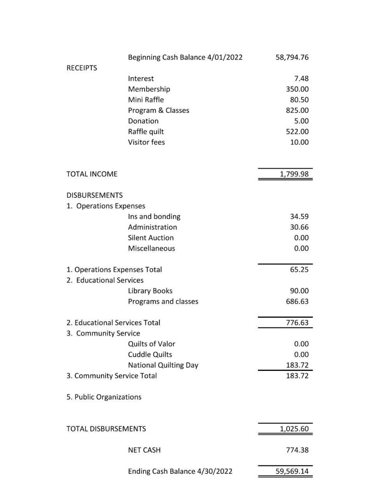|                               | Beginning Cash Balance 4/01/2022 | 58,794.76 |
|-------------------------------|----------------------------------|-----------|
| <b>RECEIPTS</b>               |                                  |           |
|                               | Interest                         | 7.48      |
|                               | Membership                       | 350.00    |
|                               | Mini Raffle                      | 80.50     |
|                               | Program & Classes                | 825.00    |
|                               | Donation                         | 5.00      |
|                               | Raffle quilt                     | 522.00    |
|                               | <b>Visitor fees</b>              | 10.00     |
|                               |                                  |           |
| <b>TOTAL INCOME</b>           |                                  | 1,799.98  |
| <b>DISBURSEMENTS</b>          |                                  |           |
| 1. Operations Expenses        |                                  |           |
|                               | Ins and bonding                  | 34.59     |
|                               | Administration                   | 30.66     |
|                               | <b>Silent Auction</b>            | 0.00      |
|                               | Miscellaneous                    | 0.00      |
| 1. Operations Expenses Total  |                                  | 65.25     |
| 2. Educational Services       |                                  |           |
|                               | Library Books                    | 90.00     |
|                               | Programs and classes             | 686.63    |
| 2. Educational Services Total |                                  | 776.63    |
| 3. Community Service          |                                  |           |
|                               | Quilts of Valor                  | 0.00      |
|                               | <b>Cuddle Quilts</b>             | 0.00      |
|                               | <b>National Quilting Day</b>     | 183.72    |
| 3. Community Service Total    |                                  | 183.72    |
| 5. Public Organizations       |                                  |           |
| <b>TOTAL DISBURSEMENTS</b>    |                                  | 1,025.60  |
|                               |                                  |           |
|                               | <b>NET CASH</b>                  | 774.38    |
|                               | Ending Cash Balance 4/30/2022    | 59,569.14 |